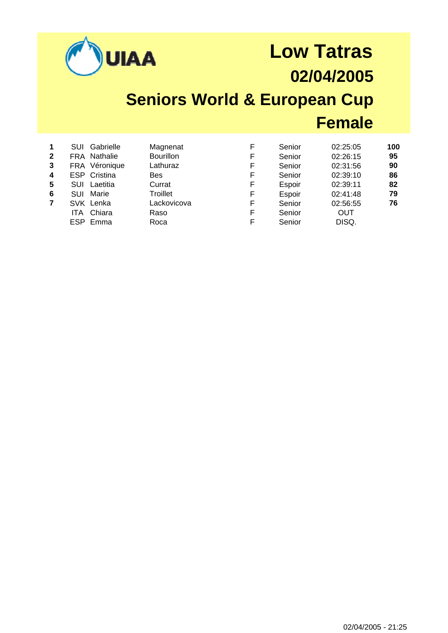|                                            |                                                                |                                                                                                               | <b>AA</b>                                                                                                   |                                           | <b>Low Tatras</b><br>02/04/2005<br><b>Seniors World &amp; European Cup</b>             |                                                                                                         |                                         |  |
|--------------------------------------------|----------------------------------------------------------------|---------------------------------------------------------------------------------------------------------------|-------------------------------------------------------------------------------------------------------------|-------------------------------------------|----------------------------------------------------------------------------------------|---------------------------------------------------------------------------------------------------------|-----------------------------------------|--|
|                                            |                                                                |                                                                                                               |                                                                                                             |                                           |                                                                                        | <b>Female</b>                                                                                           |                                         |  |
| 1<br>$\mathbf{2}$<br>3<br>4<br>5<br>6<br>7 | <b>SUI</b><br>FRA<br>ESP.<br><b>SUI</b><br>SUI.<br>ITA.<br>ESP | Gabrielle<br><b>FRA Nathalie</b><br>Véronique<br>Cristina<br>Laetitia<br>Marie<br>SVK Lenka<br>Chiara<br>Emma | Magnenat<br><b>Bourillon</b><br>Lathuraz<br><b>Bes</b><br>Currat<br>Troillet<br>Lackovicova<br>Raso<br>Roca | F<br>F<br>F<br>F<br>F<br>F<br>F<br>F<br>F | Senior<br>Senior<br>Senior<br>Senior<br>Espoir<br>Espoir<br>Senior<br>Senior<br>Senior | 02:25:05<br>02:26:15<br>02:31:56<br>02:39:10<br>02:39:11<br>02:41:48<br>02:56:55<br><b>OUT</b><br>DISQ. | 100<br>95<br>90<br>86<br>82<br>79<br>76 |  |